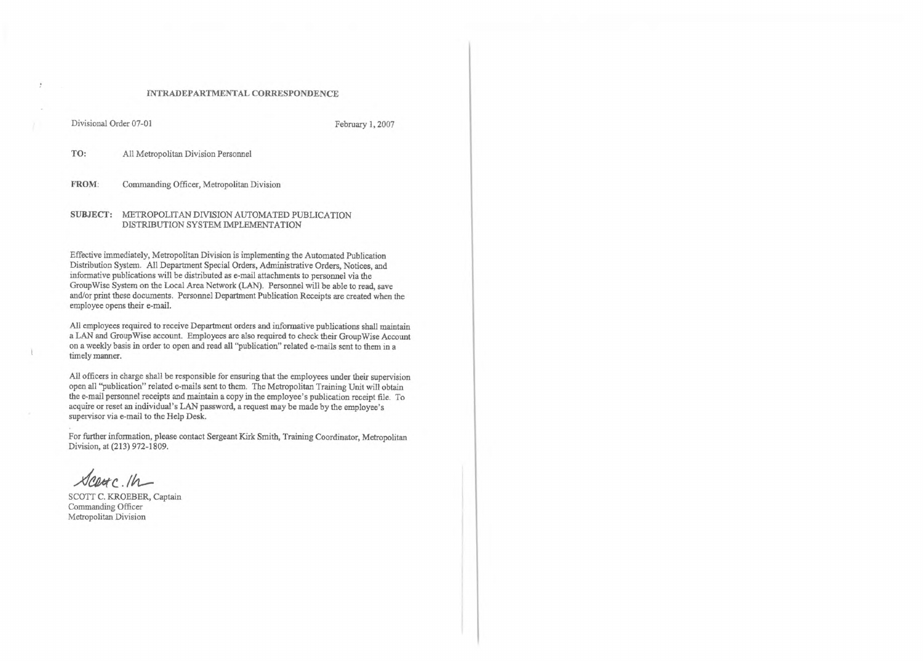### INTRADEPARTMENTAL CORRESPONDENCE

Divisional Order 07-01 February 1, 2007

TO: All Metropolitan Division Personnel

FROM: Commanding Officer, Metropolitan Division

### SUBJECT: METROPOLITAN DIVISION AUTOMATED PUBLICATION DISTRIBUTION SYSTEM IMPLEMENTATION

Effective immediately, Metropolitan Division is implementing the Automated Publication Distribution System. All Department Special Orders, Administrative Orders, Notices, and informative publications will be distributed as e-mail attachments to personnel via the GroupWise System on the Local Area Network (LAN). Personnel will be able to read, save and/or print these documents. Personnel Department Publication Receipts are created when the employee opens their e-mail.

SCOTT C. KROEBER, Captain Commanding Officer Metropolitan Division

All employees required to receive Department orders and informative publications shall maintain a LAN and GroupWise account. Employees are also required to check their GroupWise Account on a weekly basis in order to open and read all "publication" related e-mails sent to them in a timely manner.

All officers in charge shall be responsible for ensuring that the employees under their supervision open all "publication" related e-mails sent to them. The Metropolitan Training Unit will obtain the e-mail personnel receipts and maintain a copy in the employee's publication receipt file. To acquire or reset an individual's LAN password, a request may be made by the employee's supervisor via e-mail to the Help Desk.

For further information, please contact Sergeant Kirk Smith, Training Coordinator, Metropolitan Division, at (213) 972-1809.

Scarc. 1h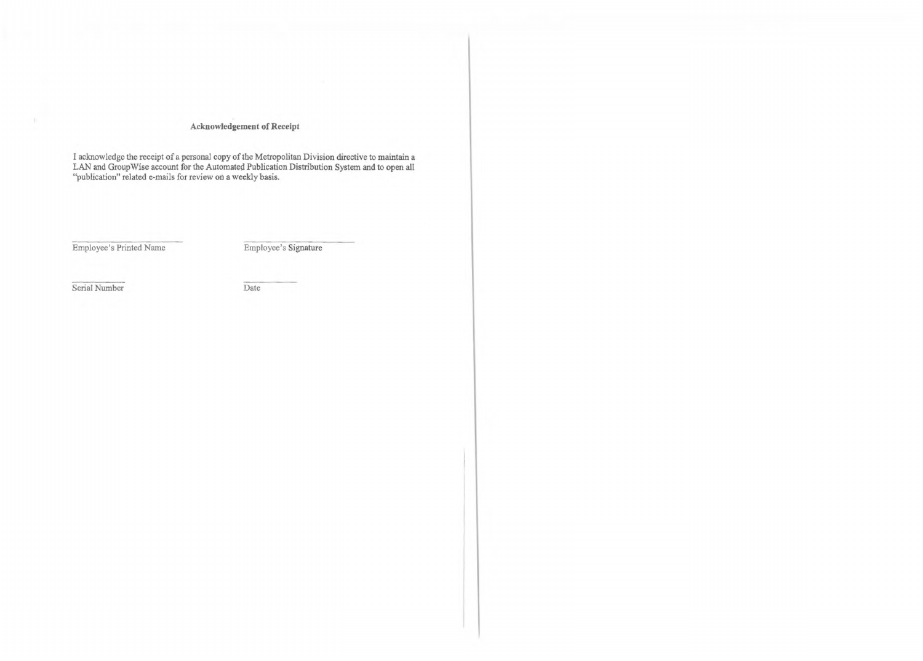# **Acknowledgement of Receipt**

I acknowledge the receipt of a personal copy of the Metropolitan Division directive to maintain a LAN and GroupWise account for the Automated Publication Distribution System and to open all "publication" related e-mails for review on a weekly basis.

Employee's Printed Name Employee's Signature

Serial Number Date

-11